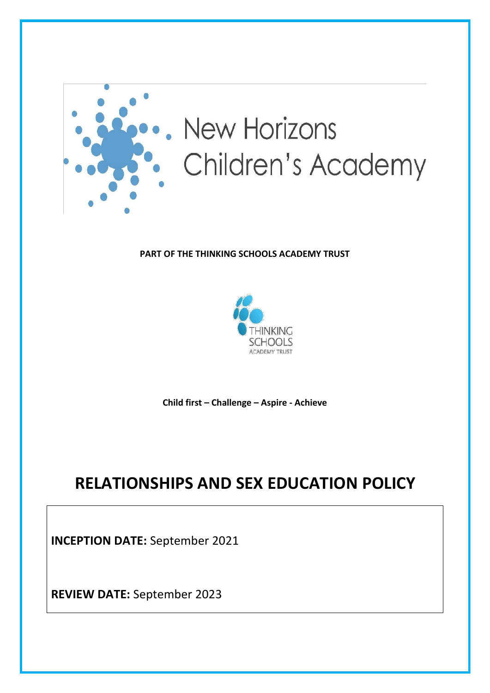

# **New Horizons** Children's Academy

# **PART OF THE THINKING SCHOOLS ACADEMY TRUST**



**Child first – Challenge – Aspire - Achieve**

# **RELATIONSHIPS AND SEX EDUCATION POLICY**

**INCEPTION DATE:** September 2021

**REVIEW DATE:** September 2023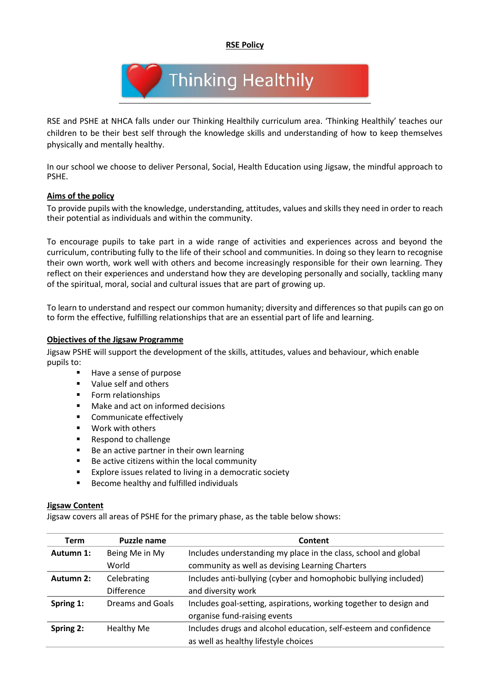**RSE Policy**



RSE and PSHE at NHCA falls under our Thinking Healthily curriculum area. 'Thinking Healthily' teaches our children to be their best self through the knowledge skills and understanding of how to keep themselves physically and mentally healthy.

In our school we choose to deliver Personal, Social, Health Education using Jigsaw, the mindful approach to PSHE.

#### **Aims of the policy**

To provide pupils with the knowledge, understanding, attitudes, values and skills they need in order to reach their potential as individuals and within the community.

To encourage pupils to take part in a wide range of activities and experiences across and beyond the curriculum, contributing fully to the life of their school and communities. In doing so they learn to recognise their own worth, work well with others and become increasingly responsible for their own learning. They reflect on their experiences and understand how they are developing personally and socially, tackling many of the spiritual, moral, social and cultural issues that are part of growing up.

To learn to understand and respect our common humanity; diversity and differences so that pupils can go on to form the effective, fulfilling relationships that are an essential part of life and learning.

#### **Objectives of the Jigsaw Programme**

Jigsaw PSHE will support the development of the skills, attitudes, values and behaviour, which enable pupils to:

- Have a sense of purpose
- Value self and others
- Form relationships
- Make and act on informed decisions
- Communicate effectively
- Work with others
- Respond to challenge
- Be an active partner in their own learning
- Be active citizens within the local community
- Explore issues related to living in a democratic society
- Become healthy and fulfilled individuals

#### **Jigsaw Content**

Jigsaw covers all areas of PSHE for the primary phase, as the table below shows:

| <b>Term</b> | <b>Puzzle name</b> | Content                                                            |
|-------------|--------------------|--------------------------------------------------------------------|
| Autumn 1:   | Being Me in My     | Includes understanding my place in the class, school and global    |
|             | World              | community as well as devising Learning Charters                    |
| Autumn 2:   | Celebrating        | Includes anti-bullying (cyber and homophobic bullying included)    |
|             | <b>Difference</b>  | and diversity work                                                 |
| Spring 1:   | Dreams and Goals   | Includes goal-setting, aspirations, working together to design and |
|             |                    | organise fund-raising events                                       |
| Spring 2:   | Healthy Me         | Includes drugs and alcohol education, self-esteem and confidence   |
|             |                    | as well as healthy lifestyle choices                               |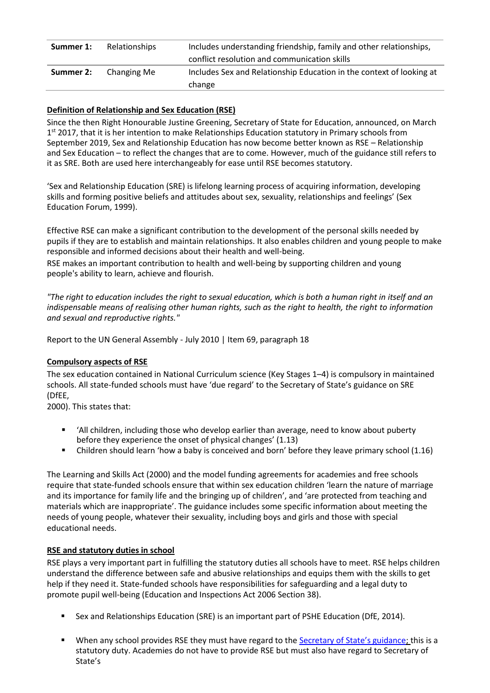| Summer 1: | Relationships | Includes understanding friendship, family and other relationships,<br>conflict resolution and communication skills |
|-----------|---------------|--------------------------------------------------------------------------------------------------------------------|
| Summer 2: | Changing Me   | Includes Sex and Relationship Education in the context of looking at<br>change                                     |

# **Definition of Relationship and Sex Education (RSE)**

Since the then Right Honourable Justine Greening, Secretary of State for Education, announced, on March 1<sup>st</sup> 2017, that it is her intention to make Relationships Education statutory in Primary schools from September 2019, Sex and Relationship Education has now become better known as RSE – Relationship and Sex Education – to reflect the changes that are to come. However, much of the guidance still refers to it as SRE. Both are used here interchangeably for ease until RSE becomes statutory.

'Sex and Relationship Education (SRE) is lifelong learning process of acquiring information, developing skills and forming positive beliefs and attitudes about sex, sexuality, relationships and feelings' (Sex Education Forum, 1999).

Effective RSE can make a significant contribution to the development of the personal skills needed by pupils if they are to establish and maintain relationships. It also enables children and young people to make responsible and informed decisions about their health and well-being.

RSE makes an important contribution to health and well-being by supporting children and young people's ability to learn, achieve and flourish.

*"The right to education includes the right to sexual education, which is both a human right in itself and an indispensable means of realising other human rights, such as the right to health, the right to information and sexual and reproductive rights."*

Report to the UN General Assembly - July 2010 | Item 69, paragraph 18

#### **Compulsory aspects of RSE**

The sex education contained in National Curriculum science (Key Stages 1–4) is compulsory in maintained schools. All state-funded schools must have 'due regard' to the Secretary of State's guidance on SRE (DfEE,

2000). This states that:

- 'All children, including those who develop earlier than average, need to know about puberty before they experience the onset of physical changes' (1.13)
- Children should learn 'how a baby is conceived and born' before they leave primary school (1.16)

The Learning and Skills Act (2000) and the model funding agreements for academies and free schools require that state-funded schools ensure that within sex education children 'learn the nature of marriage and its importance for family life and the bringing up of children', and 'are protected from teaching and materials which are inappropriate'. The guidance includes some specific information about meeting the needs of young people, whatever their sexuality, including boys and girls and those with special educational needs.

#### **RSE and statutory duties in school**

RSE plays a very important part in fulfilling the statutory duties all schools have to meet. RSE helps children understand the difference between safe and abusive relationships and equips them with the skills to get help if they need it. State-funded schools have responsibilities for safeguarding and a legal duty to promote pupil well-being (Education and Inspections Act 2006 Section 38).

- Sex and Relationships Education (SRE) is an important part of PSHE Education (DfE, 2014).
- When any school provides RSE they must have regard to the **[Secretary of State's guidance](http://webarchive.nationalarchives.gov.uk/20130401151715/https:/www.education.gov.uk/publications/eOrderingDownload/DfES-0116-2000%20SRE.pdf);** this is a statutory duty. Academies do not have to provide RSE but must also have regard to Secretary of State's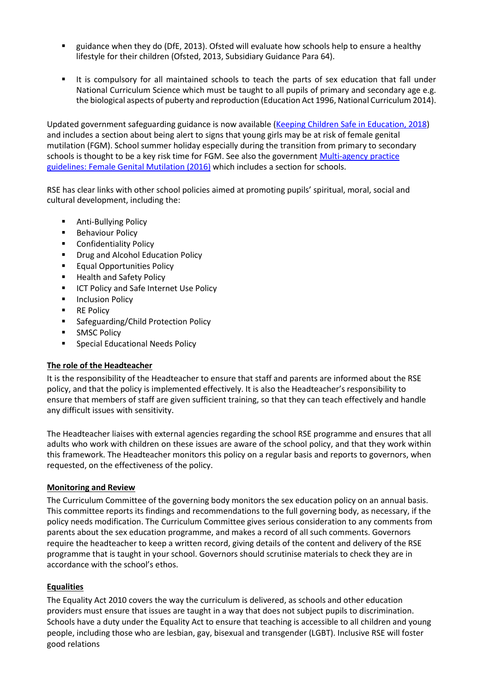- guidance when they do (DfE, 2013). Ofsted will evaluate how schools help to ensure a healthy lifestyle for their children (Ofsted, 2013, Subsidiary Guidance Para 64).
- It is compulsory for all maintained schools to teach the parts of sex education that fall under National Curriculum Science which must be taught to all pupils of primary and secondary age e.g. the biological aspects of puberty and reproduction (Education Act 1996, National Curriculum 2014).

Updated government safeguarding guidance is now available [\(Keeping Children Safe in Education, 2018\)](https://www.gov.uk/government/publications/keeping-children-safe-in-education--2) and includes a section about being alert to signs that young girls may be at risk of female genital mutilation (FGM). School summer holiday especially during the transition from primary to secondary schools is thought to be a key risk time for FGM. See also the government Multi-agency practice [guidelines: Female](https://www.gov.uk/government/publications/multi-agency-statutory-guidance-on-female-genital-mutilation) [Genital Mutilation \(2016\)](https://www.gov.uk/government/publications/multi-agency-statutory-guidance-on-female-genital-mutilation) which includes a section for schools.

RSE has clear links with other school policies aimed at promoting pupils' spiritual, moral, social and cultural development, including the:

- Anti-Bullving Policy
- Behaviour Policy
- Confidentiality Policy
- Drug and Alcohol Education Policy
- Equal Opportunities Policy
- Health and Safety Policy
- ICT Policy and Safe Internet Use Policy
- Inclusion Policy
- RE Policy
- Safeguarding/Child Protection Policy
- **■** SMSC Policy
- Special Educational Needs Policy

#### **The role of the Headteacher**

It is the responsibility of the Headteacher to ensure that staff and parents are informed about the RSE policy, and that the policy is implemented effectively. It is also the Headteacher's responsibility to ensure that members of staff are given sufficient training, so that they can teach effectively and handle any difficult issues with sensitivity.

The Headteacher liaises with external agencies regarding the school RSE programme and ensures that all adults who work with children on these issues are aware of the school policy, and that they work within this framework. The Headteacher monitors this policy on a regular basis and reports to governors, when requested, on the effectiveness of the policy.

#### **Monitoring and Review**

The Curriculum Committee of the governing body monitors the sex education policy on an annual basis. This committee reports its findings and recommendations to the full governing body, as necessary, if the policy needs modification. The Curriculum Committee gives serious consideration to any comments from parents about the sex education programme, and makes a record of all such comments. Governors require the headteacher to keep a written record, giving details of the content and delivery of the RSE programme that is taught in your school. Governors should scrutinise materials to check they are in accordance with the school's ethos.

#### **Equalities**

The Equality Act 2010 covers the way the curriculum is delivered, as schools and other education providers must ensure that issues are taught in a way that does not subject pupils to discrimination. Schools have a duty under the Equality Act to ensure that teaching is accessible to all children and young people, including those who are lesbian, gay, bisexual and transgender (LGBT). Inclusive RSE will foster good relations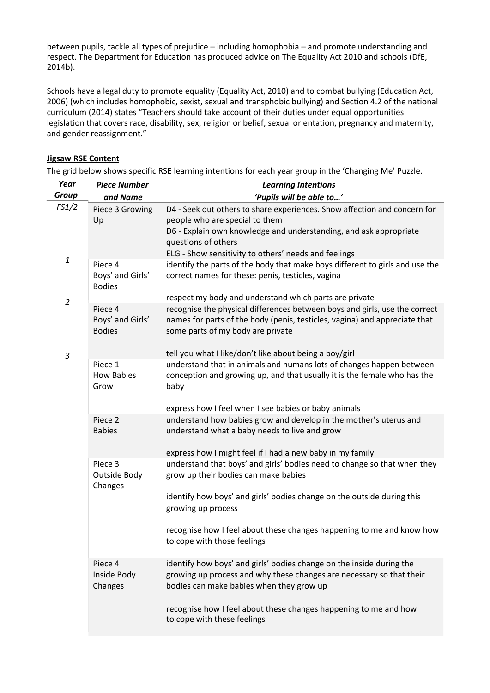between pupils, tackle all types of prejudice – including homophobia – and promote understanding and respect. The Department for Education has produced advice on The Equality Act 2010 and schools (DfE, 2014b).

Schools have a legal duty to promote equality (Equality Act, 2010) and to combat bullying (Education Act, 2006) (which includes homophobic, sexist, sexual and transphobic bullying) and Section 4.2 of the national curriculum (2014) states "Teachers should take account of their duties under equal opportunities legislation that covers race, disability, sex, religion or belief, sexual orientation, pregnancy and maternity, and gender reassignment."

# **Jigsaw RSE Content**

The grid below shows specific RSE learning intentions for each year group in the 'Changing Me' Puzzle.

| Year<br><b>Group</b>                                  | <b>Piece Number</b><br>and Name              | <b>Learning Intentions</b>                                                                                                                                                                    |
|-------------------------------------------------------|----------------------------------------------|-----------------------------------------------------------------------------------------------------------------------------------------------------------------------------------------------|
|                                                       |                                              | 'Pupils will be able to'                                                                                                                                                                      |
| FS1/2                                                 | Piece 3 Growing<br>Up                        | D4 - Seek out others to share experiences. Show affection and concern for<br>people who are special to them                                                                                   |
|                                                       |                                              | D6 - Explain own knowledge and understanding, and ask appropriate<br>questions of others                                                                                                      |
|                                                       |                                              | ELG - Show sensitivity to others' needs and feelings                                                                                                                                          |
| $\mathbf{1}% _{T}=\mathbf{1}_{T}\times\mathbf{2}_{T}$ | Piece 4<br>Boys' and Girls'<br><b>Bodies</b> | identify the parts of the body that make boys different to girls and use the<br>correct names for these: penis, testicles, vagina                                                             |
|                                                       |                                              | respect my body and understand which parts are private                                                                                                                                        |
| $\overline{2}$                                        | Piece 4<br>Boys' and Girls'<br><b>Bodies</b> | recognise the physical differences between boys and girls, use the correct<br>names for parts of the body (penis, testicles, vagina) and appreciate that<br>some parts of my body are private |
| 3                                                     |                                              | tell you what I like/don't like about being a boy/girl                                                                                                                                        |
|                                                       | Piece 1                                      | understand that in animals and humans lots of changes happen between                                                                                                                          |
|                                                       | <b>How Babies</b><br>Grow                    | conception and growing up, and that usually it is the female who has the<br>baby                                                                                                              |
|                                                       |                                              | express how I feel when I see babies or baby animals                                                                                                                                          |
|                                                       | Piece 2<br><b>Babies</b>                     | understand how babies grow and develop in the mother's uterus and<br>understand what a baby needs to live and grow                                                                            |
|                                                       |                                              | express how I might feel if I had a new baby in my family                                                                                                                                     |
|                                                       | Piece 3<br>Outside Body<br>Changes           | understand that boys' and girls' bodies need to change so that when they<br>grow up their bodies can make babies                                                                              |
|                                                       |                                              | identify how boys' and girls' bodies change on the outside during this<br>growing up process                                                                                                  |
|                                                       |                                              | recognise how I feel about these changes happening to me and know how<br>to cope with those feelings                                                                                          |
|                                                       | Piece 4<br>Inside Body<br>Changes            | identify how boys' and girls' bodies change on the inside during the<br>growing up process and why these changes are necessary so that their<br>bodies can make babies when they grow up      |
|                                                       |                                              | recognise how I feel about these changes happening to me and how<br>to cope with these feelings                                                                                               |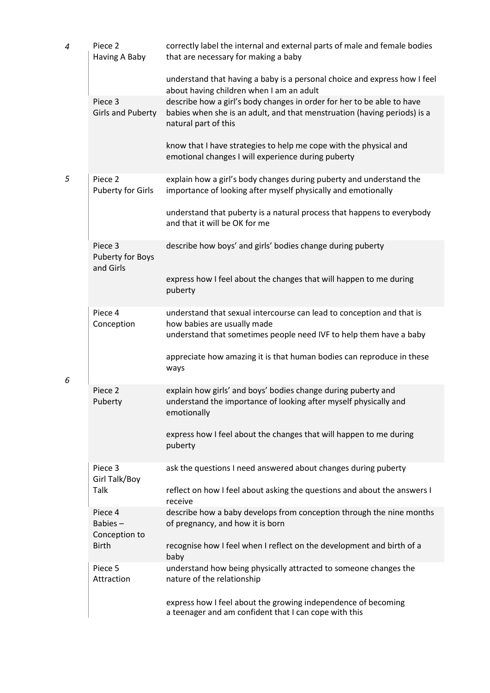| 4 | Piece 2<br>Having A Baby                       | correctly label the internal and external parts of male and female bodies<br>that are necessary for making a baby                                                          |
|---|------------------------------------------------|----------------------------------------------------------------------------------------------------------------------------------------------------------------------------|
|   |                                                | understand that having a baby is a personal choice and express how I feel<br>about having children when I am an adult                                                      |
|   | Piece 3<br><b>Girls and Puberty</b>            | describe how a girl's body changes in order for her to be able to have<br>babies when she is an adult, and that menstruation (having periods) is a<br>natural part of this |
|   |                                                | know that I have strategies to help me cope with the physical and<br>emotional changes I will experience during puberty                                                    |
| 5 | Piece <sub>2</sub><br><b>Puberty for Girls</b> | explain how a girl's body changes during puberty and understand the<br>importance of looking after myself physically and emotionally                                       |
|   |                                                | understand that puberty is a natural process that happens to everybody<br>and that it will be OK for me                                                                    |
|   | Piece 3<br>Puberty for Boys<br>and Girls       | describe how boys' and girls' bodies change during puberty                                                                                                                 |
|   |                                                | express how I feel about the changes that will happen to me during<br>puberty                                                                                              |
|   | Piece 4<br>Conception                          | understand that sexual intercourse can lead to conception and that is<br>how babies are usually made<br>understand that sometimes people need IVF to help them have a baby |
| 6 |                                                | appreciate how amazing it is that human bodies can reproduce in these<br>ways                                                                                              |
|   | Piece <sub>2</sub><br>Puberty                  | explain how girls' and boys' bodies change during puberty and<br>understand the importance of looking after myself physically and<br>emotionally                           |
|   |                                                | express how I feel about the changes that will happen to me during<br>puberty                                                                                              |
|   | Piece 3<br>Girl Talk/Boy                       | ask the questions I need answered about changes during puberty                                                                                                             |
|   | Talk                                           | reflect on how I feel about asking the questions and about the answers I<br>receive                                                                                        |
|   | Piece 4<br>Babies $-$<br>Conception to         | describe how a baby develops from conception through the nine months<br>of pregnancy, and how it is born                                                                   |
|   | <b>Birth</b>                                   | recognise how I feel when I reflect on the development and birth of a<br>baby                                                                                              |
|   | Piece 5<br>Attraction                          | understand how being physically attracted to someone changes the<br>nature of the relationship                                                                             |
|   |                                                | express how I feel about the growing independence of becoming<br>a teenager and am confident that I can cope with this                                                     |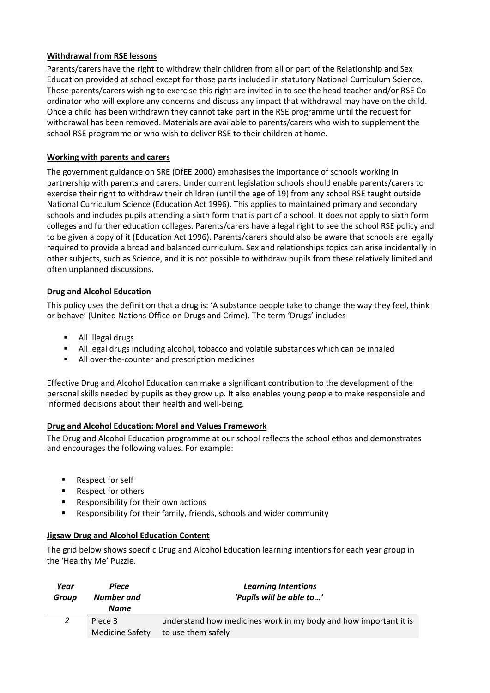# **Withdrawal from RSE lessons**

Parents/carers have the right to withdraw their children from all or part of the Relationship and Sex Education provided at school except for those parts included in statutory National Curriculum Science. Those parents/carers wishing to exercise this right are invited in to see the head teacher and/or RSE Coordinator who will explore any concerns and discuss any impact that withdrawal may have on the child. Once a child has been withdrawn they cannot take part in the RSE programme until the request for withdrawal has been removed. Materials are available to parents/carers who wish to supplement the school RSE programme or who wish to deliver RSE to their children at home.

# **Working with parents and carers**

The government guidance on SRE (DfEE 2000) emphasises the importance of schools working in partnership with parents and carers. Under current legislation schools should enable parents/carers to exercise their right to withdraw their children (until the age of 19) from any school RSE taught outside National Curriculum Science (Education Act 1996). This applies to maintained primary and secondary schools and includes pupils attending a sixth form that is part of a school. It does not apply to sixth form colleges and further education colleges. Parents/carers have a legal right to see the school RSE policy and to be given a copy of it (Education Act 1996). Parents/carers should also be aware that schools are legally required to provide a broad and balanced curriculum. Sex and relationships topics can arise incidentally in other subjects, such as Science, and it is not possible to withdraw pupils from these relatively limited and often unplanned discussions.

# **Drug and Alcohol Education**

This policy uses the definition that a drug is: 'A substance people take to change the way they feel, think or behave' (United Nations Office on Drugs and Crime). The term 'Drugs' includes

- All illegal drugs
- All legal drugs including alcohol, tobacco and volatile substances which can be inhaled
- All over-the-counter and prescription medicines

Effective Drug and Alcohol Education can make a significant contribution to the development of the personal skills needed by pupils as they grow up. It also enables young people to make responsible and informed decisions about their health and well-being.

# **Drug and Alcohol Education: Moral and Values Framework**

The Drug and Alcohol Education programme at our school reflects the school ethos and demonstrates and encourages the following values. For example:

- Respect for self
- Respect for others
- Responsibility for their own actions
- Responsibility for their family, friends, schools and wider community

# **Jigsaw Drug and Alcohol Education Content**

The grid below shows specific Drug and Alcohol Education learning intentions for each year group in the 'Healthy Me' Puzzle.

| Year<br>Group | Piece<br>Number and<br><b>Name</b> | <b>Learning Intentions</b><br>'Pupils will be able to'                                 |
|---------------|------------------------------------|----------------------------------------------------------------------------------------|
|               | Piece 3<br><b>Medicine Safety</b>  | understand how medicines work in my body and how important it is<br>to use them safely |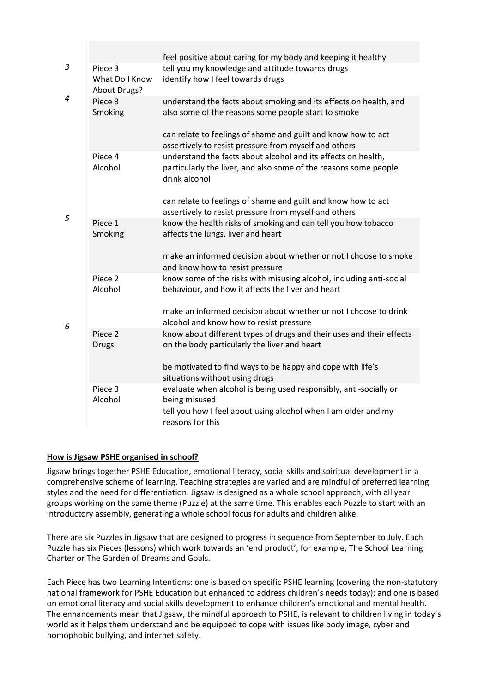|   |                                           | feel positive about caring for my body and keeping it healthy                                                                                                                             |
|---|-------------------------------------------|-------------------------------------------------------------------------------------------------------------------------------------------------------------------------------------------|
| 3 | Piece 3<br>What Do I Know<br>About Drugs? | tell you my knowledge and attitude towards drugs<br>identify how I feel towards drugs                                                                                                     |
| 4 | Piece 3<br>Smoking                        | understand the facts about smoking and its effects on health, and<br>also some of the reasons some people start to smoke<br>can relate to feelings of shame and guilt and know how to act |
|   |                                           | assertively to resist pressure from myself and others                                                                                                                                     |
|   | Piece 4<br>Alcohol                        | understand the facts about alcohol and its effects on health,<br>particularly the liver, and also some of the reasons some people<br>drink alcohol                                        |
|   |                                           | can relate to feelings of shame and guilt and know how to act<br>assertively to resist pressure from myself and others                                                                    |
| 5 | Piece 1<br>Smoking                        | know the health risks of smoking and can tell you how tobacco<br>affects the lungs, liver and heart                                                                                       |
|   |                                           | make an informed decision about whether or not I choose to smoke<br>and know how to resist pressure                                                                                       |
|   | Piece 2<br>Alcohol                        | know some of the risks with misusing alcohol, including anti-social<br>behaviour, and how it affects the liver and heart                                                                  |
| 6 |                                           | make an informed decision about whether or not I choose to drink<br>alcohol and know how to resist pressure                                                                               |
|   | Piece <sub>2</sub><br><b>Drugs</b>        | know about different types of drugs and their uses and their effects<br>on the body particularly the liver and heart                                                                      |
|   |                                           | be motivated to find ways to be happy and cope with life's<br>situations without using drugs                                                                                              |
|   | Piece 3<br>Alcohol                        | evaluate when alcohol is being used responsibly, anti-socially or<br>being misused<br>tell you how I feel about using alcohol when I am older and my<br>reasons for this                  |
|   |                                           |                                                                                                                                                                                           |

# **How is Jigsaw PSHE organised in school?**

Jigsaw brings together PSHE Education, emotional literacy, social skills and spiritual development in a comprehensive scheme of learning. Teaching strategies are varied and are mindful of preferred learning styles and the need for differentiation. Jigsaw is designed as a whole school approach, with all year groups working on the same theme (Puzzle) at the same time. This enables each Puzzle to start with an introductory assembly, generating a whole school focus for adults and children alike.

There are six Puzzles in Jigsaw that are designed to progress in sequence from September to July. Each Puzzle has six Pieces (lessons) which work towards an 'end product', for example, The School Learning Charter or The Garden of Dreams and Goals.

Each Piece has two Learning Intentions: one is based on specific PSHE learning (covering the non-statutory national framework for PSHE Education but enhanced to address children's needs today); and one is based on emotional literacy and social skills development to enhance children's emotional and mental health. The enhancements mean that Jigsaw, the mindful approach to PSHE, is relevant to children living in today's world as it helps them understand and be equipped to cope with issues like body image, cyber and homophobic bullying, and internet safety.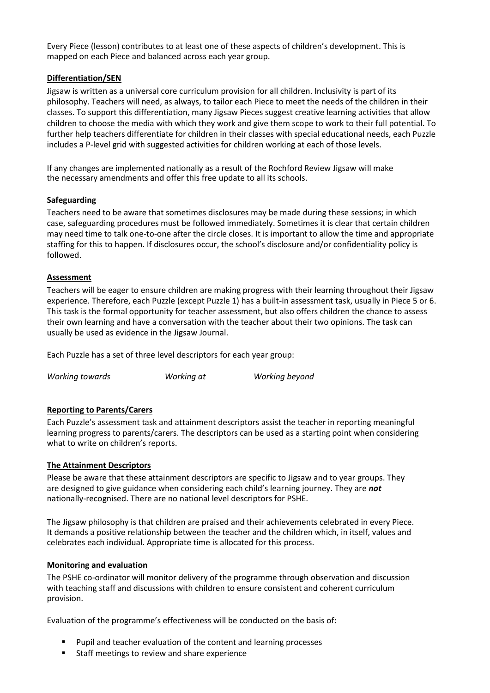Every Piece (lesson) contributes to at least one of these aspects of children's development. This is mapped on each Piece and balanced across each year group.

#### **Differentiation/SEN**

Jigsaw is written as a universal core curriculum provision for all children. Inclusivity is part of its philosophy. Teachers will need, as always, to tailor each Piece to meet the needs of the children in their classes. To support this differentiation, many Jigsaw Pieces suggest creative learning activities that allow children to choose the media with which they work and give them scope to work to their full potential. To further help teachers differentiate for children in their classes with special educational needs, each Puzzle includes a P-level grid with suggested activities for children working at each of those levels.

If any changes are implemented nationally as a result of the Rochford Review Jigsaw will make the necessary amendments and offer this free update to all its schools.

#### **Safeguarding**

Teachers need to be aware that sometimes disclosures may be made during these sessions; in which case, safeguarding procedures must be followed immediately. Sometimes it is clear that certain children may need time to talk one-to-one after the circle closes. It is important to allow the time and appropriate staffing for this to happen. If disclosures occur, the school's disclosure and/or confidentiality policy is followed.

#### **Assessment**

Teachers will be eager to ensure children are making progress with their learning throughout their Jigsaw experience. Therefore, each Puzzle (except Puzzle 1) has a built-in assessment task, usually in Piece 5 or 6. This task is the formal opportunity for teacher assessment, but also offers children the chance to assess their own learning and have a conversation with the teacher about their two opinions. The task can usually be used as evidence in the Jigsaw Journal.

Each Puzzle has a set of three level descriptors for each year group:

*Working towards Working at Working beyond*

#### **Reporting to Parents/Carers**

Each Puzzle's assessment task and attainment descriptors assist the teacher in reporting meaningful learning progress to parents/carers. The descriptors can be used as a starting point when considering what to write on children's reports.

#### **The Attainment Descriptors**

Please be aware that these attainment descriptors are specific to Jigsaw and to year groups. They are designed to give guidance when considering each child's learning journey. They are *not* nationally-recognised. There are no national level descriptors for PSHE.

The Jigsaw philosophy is that children are praised and their achievements celebrated in every Piece. It demands a positive relationship between the teacher and the children which, in itself, values and celebrates each individual. Appropriate time is allocated for this process.

#### **Monitoring and evaluation**

The PSHE co-ordinator will monitor delivery of the programme through observation and discussion with teaching staff and discussions with children to ensure consistent and coherent curriculum provision.

Evaluation of the programme's effectiveness will be conducted on the basis of:

- Pupil and teacher evaluation of the content and learning processes
- Staff meetings to review and share experience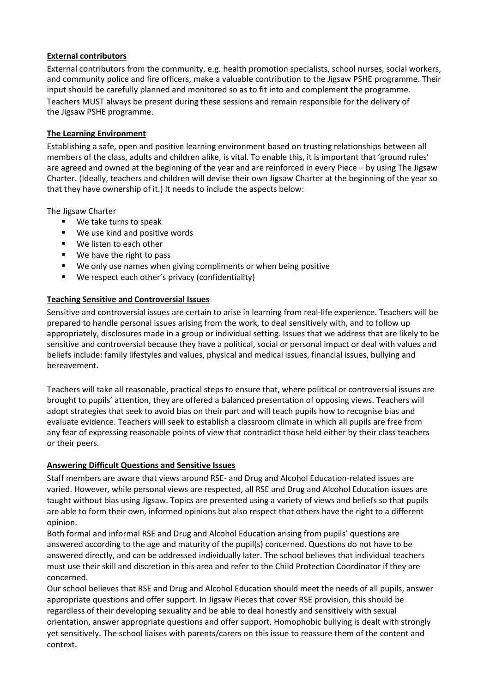# **External contributors**

External contributors from the community, e.g. health promotion specialists, school nurses, social workers, and community police and fire officers, make a valuable contribution to the Jigsaw PSHE programme. Their input should be carefully planned and monitored so as to fit into and complement the programme. Teachers MUST always be present during these sessions and remain responsible for the delivery of the Jigsaw PSHE programme.

# **The Learning Environment**

Establishing a safe, open and positive learning environment based on trusting relationships between all members of the class, adults and children alike, is vital. To enable this, it is important that 'ground rules' are agreed and owned at the beginning of the year and are reinforced in every Piece – by using The Jigsaw Charter. (Ideally, teachers and children will devise their own Jigsaw Charter at the beginning of the year so that they have ownership of it.) It needs to include the aspects below:

The Jigsaw Charter

- We take turns to speak
- We use kind and positive words
- We listen to each other
- We have the right to pass
- We only use names when giving compliments or when being positive
- We respect each other's privacy (confidentiality)

# **Teaching Sensitive and Controversial Issues**

Sensitive and controversial issues are certain to arise in learning from real-life experience. Teachers will be prepared to handle personal issues arising from the work, to deal sensitively with, and to follow up appropriately, disclosures made in a group or individual setting. Issues that we address that are likely to be sensitive and controversial because they have a political, social or personal impact or deal with values and beliefs include: family lifestyles and values, physical and medical issues, financial issues, bullying and bereavement.

Teachers will take all reasonable, practical steps to ensure that, where political or controversial issues are brought to pupils' attention, they are offered a balanced presentation of opposing views. Teachers will adopt strategies that seek to avoid bias on their part and will teach pupils how to recognise bias and evaluate evidence. Teachers will seek to establish a classroom climate in which all pupils are free from any fear of expressing reasonable points of view that contradict those held either by their class teachers or their peers.

# **Answering Difficult Questions and Sensitive Issues**

Staff members are aware that views around RSE- and Drug and Alcohol Education-related issues are varied. However, while personal views are respected, all RSE and Drug and Alcohol Education issues are taught without bias using Jigsaw. Topics are presented using a variety of views and beliefs so that pupils are able to form their own, informed opinions but also respect that others have the right to a different opinion.

Both formal and informal RSE and Drug and Alcohol Education arising from pupils' questions are answered according to the age and maturity of the pupil(s) concerned. Questions do not have to be answered directly, and can be addressed individually later. The school believes that individual teachers must use their skill and discretion in this area and refer to the Child Protection Coordinator if they are concerned.

Our school believes that RSE and Drug and Alcohol Education should meet the needs of all pupils, answer appropriate questions and offer support. In Jigsaw Pieces that cover RSE provision, this should be regardless of their developing sexuality and be able to deal honestly and sensitively with sexual orientation, answer appropriate questions and offer support. Homophobic bullying is dealt with strongly yet sensitively. The school liaises with parents/carers on this issue to reassure them of the content and context.